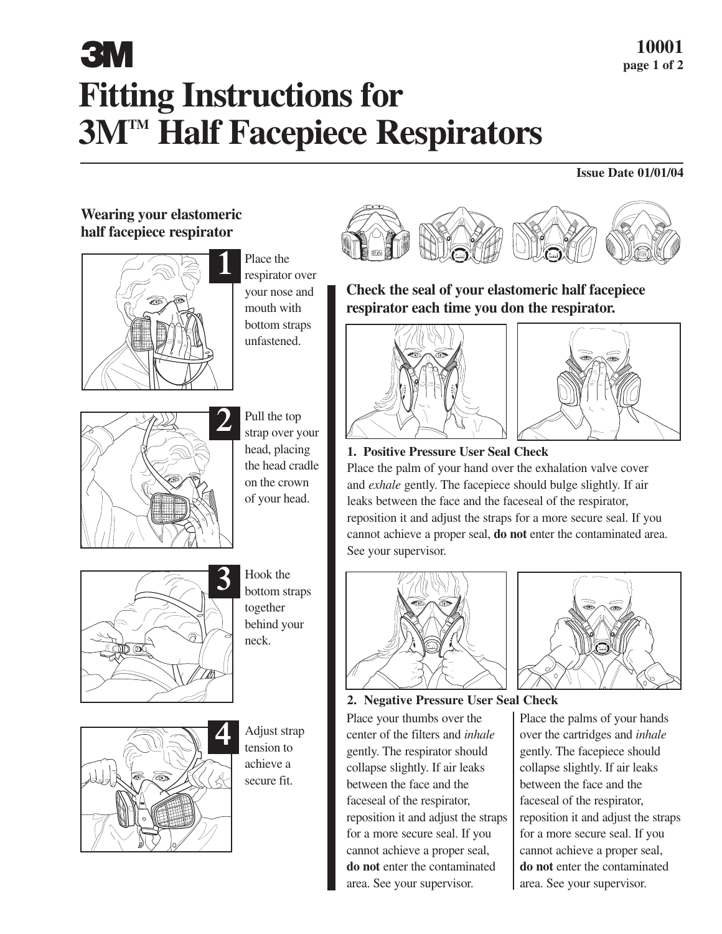# **Fitting Instructions for 3MTM Half Facepiece Respirators 3 M**  $\frac{10001}{\text{page 1 of 2}}$

### **Issue Date 01/01/04**

# **Wearing your elastomeric half facepiece respirator**



Place the respirator over your nose and mouth with bottom straps unfastened.



Pull the top strap over your head, placing the head cradle on the crown of your head.



Hook the bottom straps together behind your neck.



Adjust strap tension to achieve a secure fit.



**Check the seal of your elastomeric half facepiece respirator each time you don the respirator.**





## **1. Positive Pressure User Seal Check**

Place the palm of your hand over the exhalation valve cover and *exhale* gently. The facepiece should bulge slightly. If air leaks between the face and the faceseal of the respirator, reposition it and adjust the straps for a more secure seal. If you cannot achieve a proper seal, **do not** enter the contaminated area. See your supervisor.



**2. Negative Pressure User Seal Check** Place your thumbs over the center of the filters and *inhale* gently. The respirator should collapse slightly. If air leaks between the face and the faceseal of the respirator, reposition it and adjust the straps for a more secure seal. If you cannot achieve a proper seal, **do not** enter the contaminated area. See your supervisor.



Place the palms of your hands over the cartridges and *inhale* gently. The facepiece should collapse slightly. If air leaks between the face and the faceseal of the respirator, reposition it and adjust the straps for a more secure seal. If you cannot achieve a proper seal, **do not** enter the contaminated area. See your supervisor.